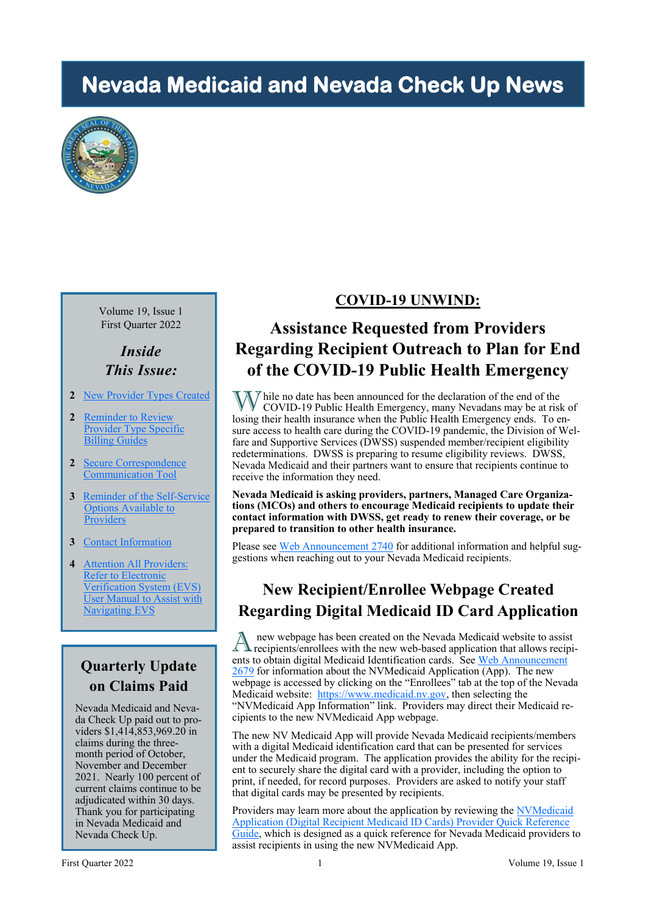# **Nevada Medicaid and Nevada Check Up News**



Volume 19, Issue 1 First Quarter 2022

*Inside This Issue:*

- **2** [New Provider Types Created](#page-1-0)
- **2** [Reminder to Review](#page-1-0)  [Provider Type Specific](#page-1-0)  **Billing Guides**
- **2** [Secure Correspondence](#page-1-0)  [Communication Tool](#page-1-0)
- **3** [Reminder of the Self](#page-2-0)-Service [Options Available to](#page-2-0)  [Providers](#page-2-0)
- **3** [Contact Information](#page-2-0)
- **4** Attention All Providers: Refer to Electronic [Verification System \(EVS\)](#page-3-0)  User Manual to Assist with Navigating EVS

## **Quarterly Update on Claims Paid**

Nevada Medicaid and Nevada Check Up paid out to providers \$1,414,853,969.20 in claims during the threemonth period of October, November and December 2021. Nearly 100 percent of current claims continue to be adjudicated within 30 days. Thank you for participating in Nevada Medicaid and Nevada Check Up.

#### **COVID-19 UNWIND:**

## **Assistance Requested from Providers Regarding Recipient Outreach to Plan for End of the COVID-19 Public Health Emergency**

While no date has been announced for the declaration of the end of the COVID-10 Bublic Hartle COVID-19 Public Health Emergency, many Nevadans may be at risk of losing their health insurance when the Public Health Emergency ends. To ensure access to health care during the COVID-19 pandemic, the Division of Welfare and Supportive Services (DWSS) suspended member/recipient eligibility redeterminations. DWSS is preparing to resume eligibility reviews. DWSS, Nevada Medicaid and their partners want to ensure that recipients continue to receive the information they need.

#### **Nevada Medicaid is asking providers, partners, Managed Care Organizations (MCOs) and others to encourage Medicaid recipients to update their contact information with DWSS, get ready to renew their coverage, or be prepared to transition to other health insurance.**

Please see [Web Announcement 2740](https://www.medicaid.nv.gov/Downloads/provider/web_announcement_2740_20220317.pdf) for additional information and helpful suggestions when reaching out to your Nevada Medicaid recipients.

## **New Recipient/Enrollee Webpage Created Regarding Digital Medicaid ID Card Application**

A new webpage has been created on the Nevada Medicaid website to assist<br>
recipients/enrollees with the new web-based application that allows recipinew webpage has been created on the Nevada Medicaid website to assist ents to obtain digital Medicaid Identification cards. See Web Announcement  $2679$  for information about the NVMedicaid Application (App). The new webpage is accessed by clicking on the "Enrollees" tab at the top of the Nevada Medicaid website: [https://www.medicaid.nv.gov,](https://www.medicaid.nv.gov/home.aspx) then selecting the "NVMedicaid App Information" link. Providers may direct their Medicaid recipients to the new NVMedicaid App webpage.

The new NV Medicaid App will provide Nevada Medicaid recipients/members with a digital Medicaid identification card that can be presented for services under the Medicaid program. The application provides the ability for the recipient to securely share the digital card with a provider, including the option to print, if needed, for record purposes. Providers are asked to notify your staff that digital cards may be presented by recipients.

Providers may learn more about the application by reviewing the NVMedicaid [Application \(Digital Recipient Medicaid ID Cards\) Provider Quick Reference](https://www.medicaid.nv.gov/Downloads/provider/NVMedicaid_Application_Provider_Guide.pdf)  [Guide,](https://www.medicaid.nv.gov/Downloads/provider/NVMedicaid_Application_Provider_Guide.pdf) which is designed as a quick reference for Nevada Medicaid providers to assist recipients in using the new NVMedicaid App.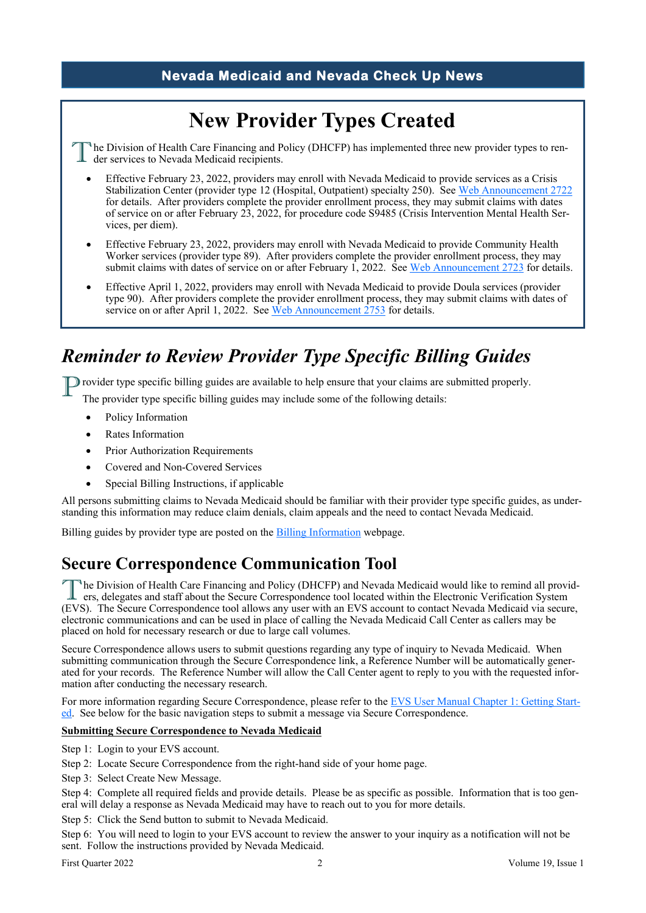#### **Nevada Medicaid and Nevada Check Up News**

# **New Provider Types Created**

<span id="page-1-0"></span>T <sup>h</sup>he Division of Health Care Financing and Policy (DHCFP) has implemented three new provider types to render services to Nevada Medicaid recipients.

- Effective February 23, 2022, providers may enroll with Nevada Medicaid to provide services as a Crisis Stabilization Center (provider type 12 (Hospital, Outpatient) specialty 250). See [Web Announcement 2722](https://www.medicaid.nv.gov/Downloads/provider/web_announcement_2722_20220223.pdf) for details. After providers complete the provider enrollment process, they may submit claims with dates of service on or after February 23, 2022, for procedure code S9485 (Crisis Intervention Mental Health Services, per diem).
- Effective February 23, 2022, providers may enroll with Nevada Medicaid to provide Community Health Worker services (provider type 89). After providers complete the provider enrollment process, they may submit claims with dates of service on or after February 1, 2022. See [Web Announcement 2723](https://www.medicaid.nv.gov/Downloads/provider/web_announcement_2723_20220225.pdf) for details.
- Effective April 1, 2022, providers may enroll with Nevada Medicaid to provide Doula services (provider type 90). After providers complete the provider enrollment process, they may submit claims with dates of service on or after April 1, 2022. See Web Announcement  $2753$  for details.

## *Reminder to Review Provider Type Specific Billing Guides*

**P** rovider type specific billing guides are available to help ensure that your claims are submitted properly.<br>The provider type specific billing guides may include some of the following details:

The provider type specific billing guides may include some of the following details:

- Policy Information
- Rates Information
- Prior Authorization Requirements
- Covered and Non-Covered Services
- Special Billing Instructions, if applicable

All persons submitting claims to Nevada Medicaid should be familiar with their provider type specific guides, as understanding this information may reduce claim denials, claim appeals and the need to contact Nevada Medicaid.

Billing guides by provider type are posted on the [Billing Information](https://www.medicaid.nv.gov/providers/BillingInfo.aspx) webpage.

## **Secure Correspondence Communication Tool**

The Division of Health Care Financing and Policy (DHCFP) and Nevada Medicaid would like to remind all providers, delegates and staff about the Secure Correspondence tool located within the Electronic Verification System (E <sup>h</sup>he Division of Health Care Financing and Policy (DHCFP) and Nevada Medicaid would like to remind all providers, delegates and staff about the Secure Correspondence tool located within the Electronic Verification System electronic communications and can be used in place of calling the Nevada Medicaid Call Center as callers may be placed on hold for necessary research or due to large call volumes.

Secure Correspondence allows users to submit questions regarding any type of inquiry to Nevada Medicaid. When submitting communication through the Secure Correspondence link, a Reference Number will be automatically generated for your records. The Reference Number will allow the Call Center agent to reply to you with the requested information after conducting the necessary research.

For more information regarding Secure Correspondence, please refer to the [EVS User Manual Chapter 1: Getting Start](https://www.medicaid.nv.gov/Downloads/provider/NV_EVS_User_Manual_Ch1.pdf)[ed.](https://www.medicaid.nv.gov/Downloads/provider/NV_EVS_User_Manual_Ch1.pdf) See below for the basic navigation steps to submit a message via Secure Correspondence.

#### **Submitting Secure Correspondence to Nevada Medicaid**

- Step 1: Login to your EVS account.
- Step 2: Locate Secure Correspondence from the right-hand side of your home page.
- Step 3: Select Create New Message.

Step 4: Complete all required fields and provide details. Please be as specific as possible. Information that is too general will delay a response as Nevada Medicaid may have to reach out to you for more details.

Step 5: Click the Send button to submit to Nevada Medicaid.

Step 6: You will need to login to your EVS account to review the answer to your inquiry as a notification will not be sent. Follow the instructions provided by Nevada Medicaid.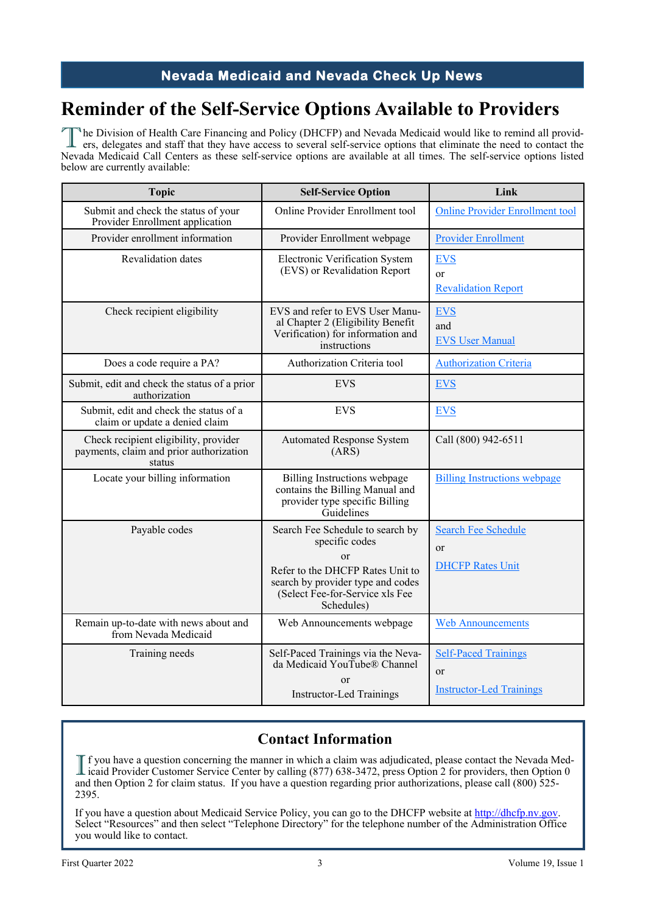#### **Nevada Medicaid and Nevada Check Up News**

## <span id="page-2-0"></span>**Reminder of the Self-Service Options Available to Providers**

The Division of Health Care Financing and Policy (DHCFP) and Nevada Medicaid would like to remind all providers, delegates and staff that they have access to several self-service options that eliminate the need to contact <sup>N</sup>he Division of Health Care Financing and Policy (DHCFP) and Nevada Medicaid would like to remind all provid-Nevada Medicaid Call Centers as these self-service options are available at all times. The self-service options listed below are currently available:

| <b>Topic</b>                                                                               | <b>Self-Service Option</b>                                                                                                                                                         | Link                                                                 |
|--------------------------------------------------------------------------------------------|------------------------------------------------------------------------------------------------------------------------------------------------------------------------------------|----------------------------------------------------------------------|
| Submit and check the status of your<br>Provider Enrollment application                     | Online Provider Enrollment tool                                                                                                                                                    | <b>Online Provider Enrollment tool</b>                               |
| Provider enrollment information                                                            | Provider Enrollment webpage                                                                                                                                                        | <b>Provider Enrollment</b>                                           |
| Revalidation dates                                                                         | Electronic Verification System<br>(EVS) or Revalidation Report                                                                                                                     | <b>EVS</b><br><b>or</b><br><b>Revalidation Report</b>                |
| Check recipient eligibility                                                                | EVS and refer to EVS User Manu-<br>al Chapter 2 (Eligibility Benefit<br>Verification) for information and<br>instructions                                                          | <b>EVS</b><br>and<br><b>EVS User Manual</b>                          |
| Does a code require a PA?                                                                  | Authorization Criteria tool                                                                                                                                                        | <b>Authorization Criteria</b>                                        |
| Submit, edit and check the status of a prior<br>authorization                              | <b>EVS</b>                                                                                                                                                                         | <b>EVS</b>                                                           |
| Submit, edit and check the status of a<br>claim or update a denied claim                   | <b>EVS</b>                                                                                                                                                                         | <b>EVS</b>                                                           |
| Check recipient eligibility, provider<br>payments, claim and prior authorization<br>status | <b>Automated Response System</b><br>(ARS)                                                                                                                                          | Call (800) 942-6511                                                  |
| Locate your billing information                                                            | Billing Instructions webpage<br>contains the Billing Manual and<br>provider type specific Billing<br>Guidelines                                                                    | <b>Billing Instructions webpage</b>                                  |
| Payable codes                                                                              | Search Fee Schedule to search by<br>specific codes<br>or<br>Refer to the DHCFP Rates Unit to<br>search by provider type and codes<br>(Select Fee-for-Service xls Fee<br>Schedules) | <b>Search Fee Schedule</b><br>or<br><b>DHCFP Rates Unit</b>          |
| Remain up-to-date with news about and<br>from Nevada Medicaid                              | Web Announcements webpage                                                                                                                                                          | <b>Web Announcements</b>                                             |
| Training needs                                                                             | Self-Paced Trainings via the Neva-<br>da Medicaid YouTube® Channel<br>or<br><b>Instructor-Led Trainings</b>                                                                        | <b>Self-Paced Trainings</b><br>or<br><b>Instructor-Led Trainings</b> |

### **Contact Information**

If you have a question concerning the manner in which a claim was adjudicated, please contact the Nevada Medicaid Provider Customer Service Center by calling (877) 638-3472, press Option 2 for providers, then Option 0 icaid Provider Customer Service Center by calling (877) 638-3472, press Option 2 for providers, then Option 0 and then Option 2 for claim status. If you have a question regarding prior authorizations, please call (800) 525- 2395.

If you have a question about Medicaid Service Policy, you can go to the DHCFP website at [http://dhcfp.nv.gov.](http://dhcfp.nv.gov)  Select "Resources" and then select "Telephone Directory" for the telephone number of the Administration Office you would like to contact.